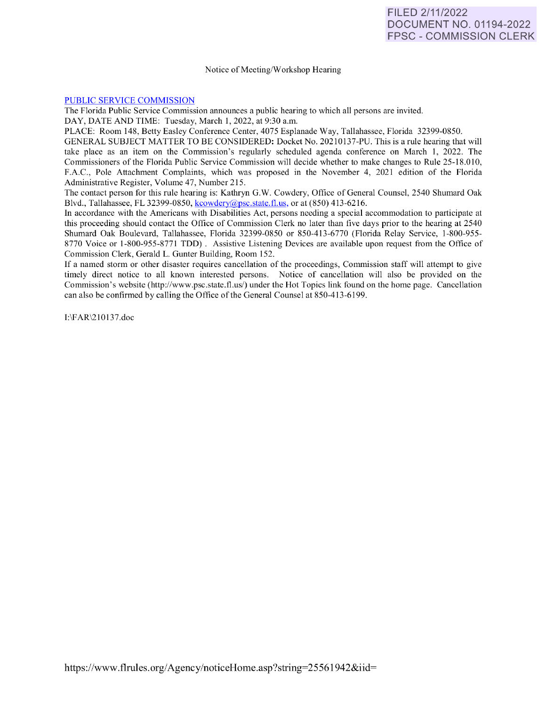## Notice of Meeting/Workshop Hearing

## [PUBLIC SERVICE COMMISSION](https://www.flrules.org/gateway/department.asp?id=25)

The Florida Public Service Commission announces a public hearing to which all persons are invited.

DAY, DATE AND TIME: Tuesday, March 1, 2022, at 9:30 a.m.

PLACE: Room 148, Betty Easley Conference Center, 4075 Esplanade Way, Tallahassee, Florida 32399-0850.

GENERAL SUBJECT MATTER TO BE CONSIDERED: Docket No. 20210137-PU. This is a rule hearing that will take place as an item on the Commission's regularly scheduled agenda conference on March 1, 2022. The Commissioners of the Florida Public Service Commission will decide whether to make changes to Rule 25-18.010, F.A.C., Pole Attachment Complaints, which was proposed in the November 4, 2021 edition of the Florida Administrative Register, Volume 47, Number 215.

The contact person for this rule hearing is: Kathryn G.W. Cowdery, Office of General Counsel, 2540 Shumard Oak Blvd., Tallahassee, FL 32399-0850, [kcowdery@psc.state.fl.us,](mailto:kcowdery@psc.state.fl.us) or at (850) 413-6216.

In accordance with the Americans with Disabilities Act, persons needing a special accommodation to participate at this proceeding should contact the Office of Commission Clerk no later than five days prior to the hearing at 2540 Shumard Oak Boulevard, Tallahassee, Florida 32399-0850 or 850-413-6770 (Florida Relay Service, 1-800-955- 8770 Voice or 1-800-955-8771 TDD). Assistive Listening Devices are available upon request from the Office of Commission Clerk, Gerald L. Gunter Building, Room 152.

If a named storm or other disaster requires cancellation of the proceedings, Commission staff will attempt to give timely direct notice to all known interested persons. Notice of cancellation will also be provided on the Commission's website (http://www.psc.state.fl.us/) under the Hot Topics link found on the home page. Cancellation can also be confirmed by calling the Office of the General Counsel at 850-413-6199.

1:\F AR\2 10 137.doc